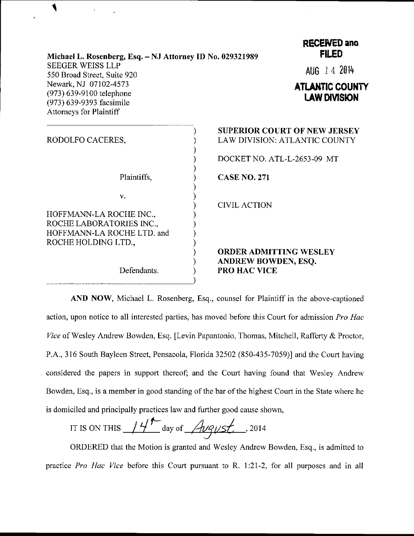| Michael L. Rosenberg, Esq. - NJ Attorney ID No. 029321989                                                       | <b>RECENED and</b><br><b>FILED</b>                                                                  |
|-----------------------------------------------------------------------------------------------------------------|-----------------------------------------------------------------------------------------------------|
| <b>SEEGER WEISS LLP</b><br>550 Broad Street, Suite 920                                                          | AUG 14 2014                                                                                         |
| Newark, NJ 07102-4573<br>(973) 639-9100 telephone<br>(973) 639-9393 facsimile<br><b>Attorneys for Plaintiff</b> | <b>ATLANTIC COUNTY</b><br><b>LAW DIVISION</b>                                                       |
| RODOLFO CACERES,                                                                                                | <b>SUPERIOR COURT OF NEW JERSEY</b><br>LAW DIVISION: ATLANTIC COUNTY<br>DOCKET NO. ATL-L-2653-09 MT |
| Plaintiffs,                                                                                                     | <b>CASE NO. 271</b>                                                                                 |
| V.<br>HOFFMANN-LA ROCHE INC.,<br>ROCHE LABORATORIES INC.,                                                       | <b>CIVIL ACTION</b>                                                                                 |
| HOFFMANN-LA ROCHE LTD. and<br>ROCHE HOLDING LTD.,                                                               | <b>ORDER ADMITTING WESLEY</b><br>ANDREW BOWDEN, ESQ.                                                |
| Defendants.                                                                                                     | <b>PRO HAC VICE</b>                                                                                 |

٩

AND NOW, Michael L. Rosenberg, Esq., counsel for Plaintiff in the above-captioned action, upon notice to all interested parties, has moved before this Court for admission Pro Hac Vice of Wesley Andrew Bowden, Esq. [Levin Papantonio, Thomas, Mitchell, Rafferty & Proctor, P.A., 316 South Bayleen Street, Pensacola, Florida 32502 (850-435-7059)l and the Court having considered the papers in support thereof; and the Court having found that Wesley Andrew Bowden, Esq., is a member in good standing of the bar of the highest Court in the State where he is domiciled and principally practices law and further good cause shown,

IT IS ON THIS  $14<sup>h</sup>$  day of *August* , 2014

ORDERED that the Motion is granted and Wesley Andrew Bowden, Esq., is admitted to practice Pro Hac Vice before this Court pursuant to R. 1:21-2, for all purposes and in all